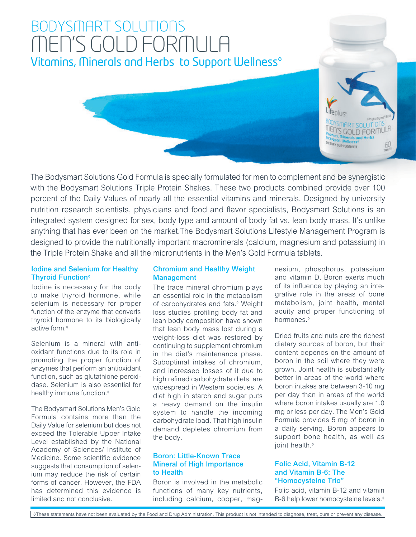# BODYSMART SOLUTIONS MEN'S GOLD FORMULA Vitamins, Minerals and Herbs to Support Wellness<sup>®</sup>



The Bodysmart Solutions Gold Formula is specially formulated for men to complement and be synergistic with the Bodysmart Solutions Triple Protein Shakes. These two products combined provide over 100 percent of the Daily Values of nearly all the essential vitamins and minerals. Designed by university nutrition research scientists, physicians and food and flavor specialists, Bodysmart Solutions is an integrated system designed for sex, body type and amount of body fat vs. lean body mass. It's unlike anything that has ever been on the market.The Bodysmart Solutions Lifestyle Management Program is designed to provide the nutritionally important macrominerals (calcium, magnesium and potassium) in the Triple Protein Shake and all the micronutrients in the Men's Gold Formula tablets.

### Iodine and Selenium for Healthy Thyroid Function◊

Iodine is necessary for the body to make thyroid hormone, while selenium is necessary for proper function of the enzyme that converts thyroid hormone to its biologically active form.◊

Selenium is a mineral with antioxidant functions due to its role in promoting the proper function of enzymes that perform an antioxidant function, such as glutathione peroxidase. Selenium is also essential for healthy immune function.<sup>◊</sup>

The Bodysmart Solutions Men's Gold Formula contains more than the Daily Value for selenium but does not exceed the Tolerable Upper Intake Level established by the National Academy of Sciences/ Institute of Medicine. Some scientific evidence suggests that consumption of selenium may reduce the risk of certain forms of cancer. However, the FDA has determined this evidence is limited and not conclusive.

# Chromium and Healthy Weight **Management**

The trace mineral chromium plays an essential role in the metabolism of carbohydrates and fats.◊ Weight loss studies profiling body fat and lean body composition have shown that lean body mass lost during a weight-loss diet was restored by continuing to supplement chromium in the diet's maintenance phase. Suboptimal intakes of chromium, and increased losses of it due to high refined carbohydrate diets, are widespread in Western societies. A diet high in starch and sugar puts a heavy demand on the insulin system to handle the incoming carbohydrate load. That high insulin demand depletes chromium from the body.

# Boron: Little-Known Trace Mineral of High Importance to Health

Boron is involved in the metabolic functions of many key nutrients, including calcium, copper, magnesium, phosphorus, potassium and vitamin D. Boron exerts much of its influence by playing an integrative role in the areas of bone metabolism, joint health, mental acuity and proper functioning of hormones.◊

Dried fruits and nuts are the richest dietary sources of boron, but their content depends on the amount of boron in the soil where they were grown. Joint health is substantially better in areas of the world where boron intakes are between 3-10 mg per day than in areas of the world where boron intakes usually are 1.0 mg or less per day. The Men's Gold Formula provides 5 mg of boron in a daily serving. Boron appears to support bone health, as well as joint health.◊

# Folic Acid, Vitamin B-12 and Vitamin B-6: The "Homocysteine Trio"

Folic acid, vitamin B-12 and vitamin B-6 help lower homocysteine levels.◊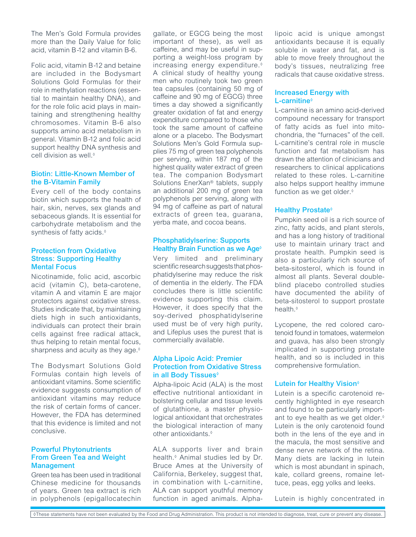The Men's Gold Formula provides more than the Daily Value for folic acid, vitamin B-12 and vitamin B-6.

Folic acid, vitamin B-12 and betaine are included in the Bodysmart Solutions Gold Formulas for their role in methylation reactions (essential to maintain healthy DNA), and for the role folic acid plays in maintaining and strengthening healthy chromosomes. Vitamin B-6 also supports amino acid metabolism in general. Vitamin B-12 and folic acid support healthy DNA synthesis and cell division as well.◊

#### Biotin: Little-Known Member of the B-Vitamin Family

Every cell of the body contains biotin which supports the health of hair, skin, nerves, sex glands and sebaceous glands. It is essential for carbohydrate metabolism and the synthesis of fatty acids.◊

#### Protection from Oxidative Stress: Supporting Healthy Mental Focus

Nicotinamide, folic acid, ascorbic acid (vitamin C), beta-carotene, vitamin A and vitamin E are major protectors against oxidative stress. Studies indicate that, by maintaining diets high in such antioxidants, individuals can protect their brain cells against free radical attack, thus helping to retain mental focus, sharpness and acuity as they age.◊

The Bodysmart Solutions Gold Formulas contain high levels of antioxidant vitamins. Some scientific evidence suggests consumption of antioxidant vitamins may reduce the risk of certain forms of cancer. However, the FDA has determined that this evidence is limited and not conclusive.

## Powerful Phytonutrients From Green Tea and Weight Management

Green tea has been used in traditional Chinese medicine for thousands of years. Green tea extract is rich in polyphenols (epigallocatechin

gallate, or EGCG being the most important of these), as well as caffeine, and may be useful in supporting a weight-loss program by increasing energy expenditure.◊ A clinical study of healthy young men who routinely took two green tea capsules (containing 50 mg of caffeine and 90 mg of EGCG) three times a day showed a significantly greater oxidation of fat and energy expenditure compared to those who took the same amount of caffeine alone or a placebo. The Bodysmart Solutions Men's Gold Formula supplies 75 mg of green tea polyphenols per serving, within 187 mg of the highest quality water extract of green tea. The companion Bodysmart Solutions EnerXan® tablets, supply an additional 200 mg of green tea polyphenols per serving, along with 94 mg of caffeine as part of natural extracts of green tea, guarana, yerba mate, and cocoa beans.

### Phosphatidylserine: Supports Healthy Brain Function as we Age◊

Very limited and preliminary scientific research suggests that phosphatidylserine may reduce the risk of dementia in the elderly. The FDA concludes there is little scientific evidence supporting this claim. However, it does specify that the soy-derived phosphatidylserine used must be of very high purity, and Lifeplus uses the purest that is commercially available.

# Alpha Lipoic Acid: Premier Protection from Oxidative Stress in all Body Tissues◊

Alpha-lipoic Acid (ALA) is the most effective nutritional antioxidant in bolstering cellular and tissue levels of glutathione, a master physiological antioxidant that orchestrates the biological interaction of many other antioxidants.◊

ALA supports liver and brain health.◊ Animal studies led by Dr. Bruce Ames at the University of California, Berkeley, suggest that, in combination with L-carnitine, ALA can support youthful memory function in aged animals. Alphalipoic acid is unique amongst antioxidants because it is equally soluble in water and fat, and is able to move freely throughout the body's tissues, neutralizing free radicals that cause oxidative stress.

### Increased Energy with L-carnitine◊

L-carnitine is an amino acid-derived compound necessary for transport of fatty acids as fuel into mitochondria, the "furnaces" of the cell. L-carnitine's central role in muscle function and fat metabolism has drawn the attention of clinicians and researchers to clinical applications related to these roles. L-carnitine also helps support healthy immune function as we get older.<sup>◊</sup>

# Healthy Prostate<sup></sup>

Pumpkin seed oil is a rich source of zinc, fatty acids, and plant sterols, and has a long history of traditional use to maintain urinary tract and prostate health. Pumpkin seed is also a particularly rich source of beta-sitosterol, which is found in almost all plants. Several doubleblind placebo controlled studies have documented the ability of beta-sitosterol to support prostate health.◊

Lycopene, the red colored carotenoid found in tomatoes, watermelon and guava, has also been strongly implicated in supporting prostate health, and so is included in this comprehensive formulation.

# **Lutein for Healthy Vision**<sup>®</sup>

Lutein is a specific carotenoid recently highlighted in eye research and found to be particularly important to eye health as we get older.◊ Lutein is the only carotenoid found both in the lens of the eye and in the macula, the most sensitive and dense nerve network of the retina. Many diets are lacking in lutein which is most abundant in spinach, kale, collard greens, romaine lettuce, peas, egg yolks and leeks.

Lutein is highly concentrated in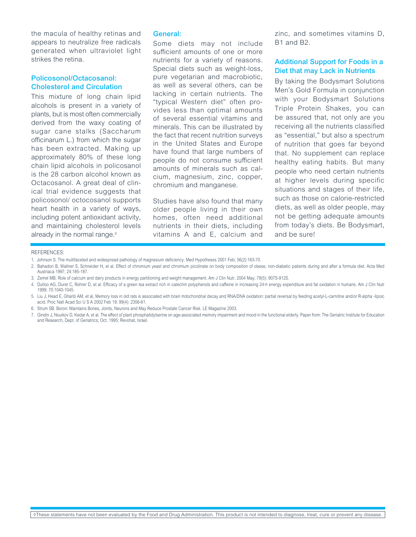the macula of healthy retinas and appears to neutralize free radicals generated when ultraviolet light strikes the retina.

### Policosonol/Octacosanol: Cholesterol and Circulation

This mixture of long chain lipid alcohols is present in a variety of plants, but is most often commercially derived from the waxy coating of sugar cane stalks (Saccharum officinarum L.) from which the sugar has been extracted. Making up approximately 80% of these long chain lipid alcohols in policosanol is the 28 carbon alcohol known as Octacosanol. A great deal of clinical trial evidence suggests that policosonol/ octocosanol supports heart health in a variety of ways, including potent antioxidant activity, and maintaining cholesterol levels already in the normal range.◊

#### General:

Some diets may not include sufficient amounts of one or more nutrients for a variety of reasons. Special diets such as weight-loss, pure vegetarian and macrobiotic, as well as several others, can be lacking in certain nutrients. The "typical Western diet" often provides less than optimal amounts of several essential vitamins and minerals. This can be illustrated by the fact that recent nutrition surveys in the United States and Europe have found that large numbers of people do not consume sufficient amounts of minerals such as calcium, magnesium, zinc, copper, chromium and manganese.

Studies have also found that many older people living in their own homes, often need additional nutrients in their diets, including vitamins A and E, calcium and

zinc, and sometimes vitamins D, B1 and B2.

## Additional Support for Foods in a Diet that may Lack in Nutrients

By taking the Bodysmart Solutions Men's Gold Formula in conjunction with your Bodysmart Solutions Triple Protein Shakes, you can be assured that, not only are you receiving all the nutrients classified as "essential," but also a spectrum of nutrition that goes far beyond that. No supplement can replace healthy eating habits. But many people who need certain nutrients at higher levels during specific situations and stages of their life, such as those on calorie-restricted diets, as well as older people, may not be getting adequate amounts from today's diets. Be Bodysmart, and be sure!

#### REFERENCES:

2. Bahadori B, Wallner S, Schneider H, et al. Effect of chromium yeast and chromium picolinate on body composition of obese, non-diabetic patients during and after a formula diet. Acta Med Austriaca 1997; 24:185-187.

- 4. Dulloo AG, Duret C, Rohrer D, et al. Efficacy of a green tea extract rich in catechin polyphenols and caffeine in increasing 24-h energy expenditure and fat oxidation in humans. Am J Clin Nutr 1999; 70:1040-1045.
- 5. Liu J, Head E, Gharib AM, et al, Memory loss in old rats is associated with brain mitochondrial decay and RNA/DNA oxidation: partial reversal by feeding acetyl-L-carnitine and/or R-alpha -lipoic acid. Proc Natl Acad Sci U S A 2002 Feb 19; 99(4): 2356-61.
- 6. Strum SB. Boron: Maintains Bones, Joints, Neurons and May Reduce Prostate Cancer Risk. LE Magazine 2003.
- 7. Gindin J, Nouikov D, Kedar A, et al. The effect of plant phosphatidylserine on age-associated memory impairment and mood in the functional elderly. Paper from: The Geriatric Institute for Education and Research, Dept. of Geriatrics; Oct. 1995; Revohat, Israel.

<sup>1.</sup> Johnson S. The multifaceted and widespread pathology of magnesium deficiency. Med Hypotheses 2001 Feb; 56(2):163-70.

<sup>3.</sup> Zemel MB. Role of calcium and dairy products in energy partitioning and weight management. Am J Clin Nutr. 2004 May; 79(5): 907S-912S.